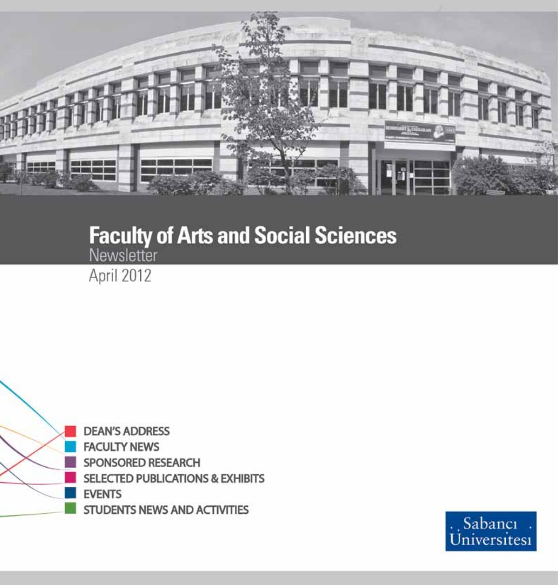

# **Faculty of Arts and Social Sciences**

April 2012



**DEAN'S ADDRESS FACULTY NEWS** SPONSORED RESEARCH **SELECTED PUBLICATIONS & EXHIBITS** STUDENTS NEWS AND ACTIVITIES

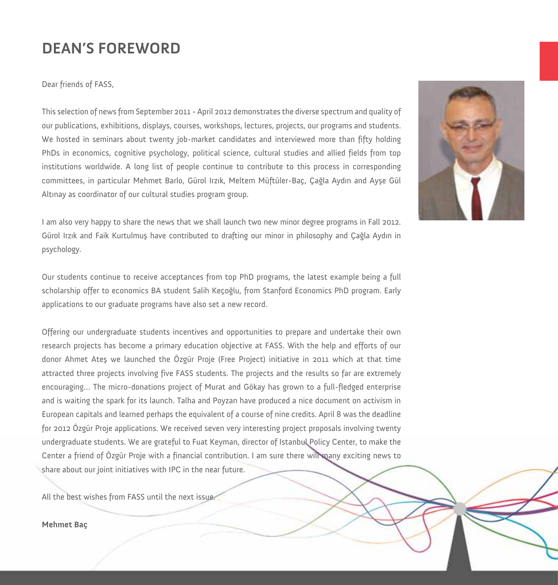#### **DEAN'S FOREWORD**

Dear friends of FASS,

This selection of news from September 2011 - April 2012 demonstrates the diverse spectrum and quality of our publications, exhibitions, displays, courses, workshops, lectures, projects, our programs and students. We hosted in seminars about twenty job-market candidates and interviewed more than fifty holding PhDs in economics, cognitive psychology, political science, cultural studies and allied fields from top institutions worldwide. A long list of people continue to contribute to this process in corresponding committees, in particular Mehmet Barlo, Gürol Irzık, Meltem Müftüler-Baç, Çağla Aydın and Ayşe Gül Altınay as coordinator of our cultural studies program group.

I am also very happy to share the news that we shall launch two new minor degree programs in Fall 2012. Gürol Irzık and Faik Kurtulmuş have contributed to drafting our minor in philosophy and Çağla Aydın in psychology.

Our students continue to receive acceptances from top PhD programs, the latest example being a full scholarship offer to economics BA student Salih Keçoğlu, from Stanford Economics PhD program. Early applications to our graduate programs have also set a new record.

Offering our undergraduate students incentives and opportunities to prepare and undertake their own research projects has become a primary education objective at FASS. With the help and efforts of our donor Ahmet Ateş we launched the Özgür Proje (Free Project) initiative in 2011 which at that time attracted three projects involving five FASS students. The projects and the results so far are extremely encouraging… The micro-donations project of Murat and Gökay has grown to a full-fledged enterprise and is waiting the spark for its launch. Talha and Poyzan have produced a nice document on activism in European capitals and learned perhaps the equivalent of a course of nine credits. April 8 was the deadline for 2012 Özgür Proje applications. We received seven very interesting project proposals involving twenty undergraduate students. We are grateful to Fuat Keyman, director of Istanbul Policy Center, to make the Center a friend of Özgür Proje with a financial contribution. I am sure there will many exciting news to share about our joint initiatives with IPC in the near future.

All the best wishes from FASS until the next issue.

#### **Mehmet Baç**

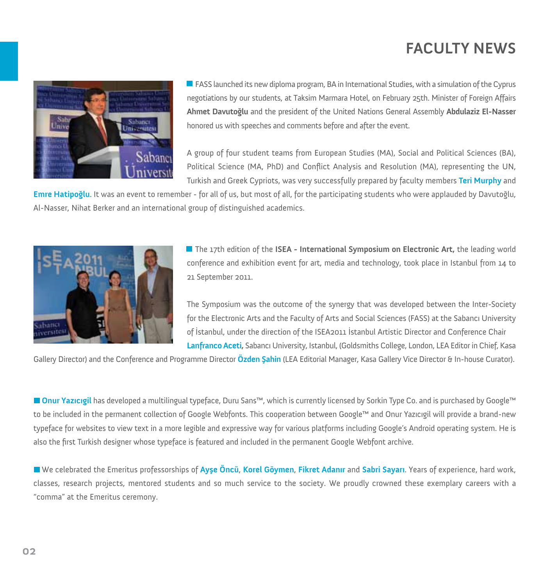# **FACULTY NEWS**



 $\blacksquare$  FASS launched its new diploma program, BA in International Studies, with a simulation of the Cyprus negotiations by our students, at Taksim Marmara Hotel, on February 25th. Minister of Foreign Affairs **Ahmet Davutoğlu** and the president of the United Nations General Assembly **Abdulaziz El-Nasser**  honored us with speeches and comments before and after the event.

A group of four student teams from European Studies (MA), Social and Political Sciences (BA), Political Science (MA, PhD) and Conflict Analysis and Resolution (MA), representing the UN, Turkish and Greek Cypriots, was very successfully prepared by faculty members **Teri Murphy** and

**Emre Hatipoğlu**. It was an event to remember - for all of us, but most of all, for the participating students who were applauded by Davutoğlu, Al-Nasser, Nihat Berker and an international group of distinguished academics.



The 17th edition of the **ISEA - International Symposium on Electronic Art,** the leading world conference and exhibition event for art, media and technology, took place in Istanbul from 14 to 21 September 2011.

The Symposium was the outcome of the synergy that was developed between the Inter-Society for the Electronic Arts and the Faculty of Arts and Social Sciences (FASS) at the Sabancı University of İstanbul, under the direction of the ISEA2011 İstanbul Artistic Director and Conference Chair **Lanfranco Aceti,** Sabancı University, Istanbul, (Goldsmiths College, London, LEA Editor in Chief, Kasa

Gallery Director) and the Conference and Programme Director **Özden Şahin** (LEA Editorial Manager, Kasa Gallery Vice Director & In-house Curator).

**Onur Yazıcıgil** has developed a multilingual typeface, Duru Sans™, which is currently licensed by Sorkin Type Co. and is purchased by Google™ to be included in the permanent collection of Google Webfonts. This cooperation between Google™ and Onur Yazıcıgil will provide a brand-new typeface for websites to view text in a more legible and expressive way for various platforms including Google's Android operating system. He is also the first Turkish designer whose typeface is featured and included in the permanent Google Webfont archive.

We celebrated the Emeritus professorships of **Ayşe Öncü**, **Korel Göymen**, **Fikret Adanır** and **Sabri Sayarı**. Years of experience, hard work, classes, research projects, mentored students and so much service to the society. We proudly crowned these exemplary careers with a "comma" at the Emeritus ceremony.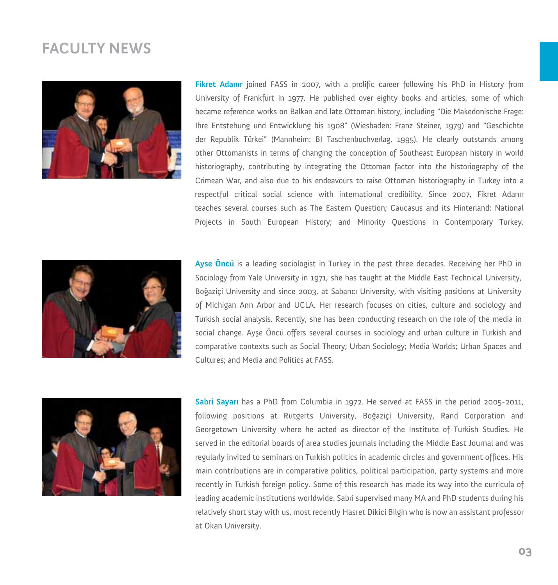#### **FACULTY NEWS**



**Fikret Adanır** joined FASS in 2007, with a prolific career following his PhD in History from University of Frankfurt in 1977. He published over eighty books and articles, some of which became reference works on Balkan and late Ottoman history, including "Die Makedonische Frage: Ihre Entstehung und Entwicklung bis 1908" (Wiesbaden: Franz Steiner, 1979) and "Geschichte der Republik Türkei" (Mannheim: BI Taschenbuchverlag, 1995). He clearly outstands among other Ottomanists in terms of changing the conception of Southeast European history in world historiography, contributing by integrating the Ottoman factor into the historiography of the Crimean War, and also due to his endeavours to raise Ottoman historiography in Turkey into a respectful critical social science with international credibility. Since 2007, Fikret Adanır teaches several courses such as The Eastern Question; Caucasus and its Hinterland; National Projects in South European History; and Minority Questions in Contemporary Turkey.



**Ayse Öncü** is a leading sociologist in Turkey in the past three decades. Receiving her PhD in Sociology from Yale University in 1971, she has taught at the Middle East Technical University, Boğaziçi University and since 2003, at Sabancı University, with visiting positions at University of Michigan Ann Arbor and UCLA. Her research focuses on cities, culture and sociology and Turkish social analysis. Recently, she has been conducting research on the role of the media in social change. Ayşe Öncü offers several courses in sociology and urban culture in Turkish and comparative contexts such as Social Theory; Urban Sociology; Media Worlds; Urban Spaces and Cultures; and Media and Politics at FASS.



**Sabri Sayarı** has a PhD from Columbia in 1972. He served at FASS in the period 2005-2011, following positions at Rutgerts University, Boğaziçi University, Rand Corporation and Georgetown University where he acted as director of the Institute of Turkish Studies. He served in the editorial boards of area studies journals including the Middle East Journal and was regularly invited to seminars on Turkish politics in academic circles and government offices. His main contributions are in comparative politics, political participation, party systems and more recently in Turkish foreign policy. Some of this research has made its way into the curricula of leading academic institutions worldwide. Sabri supervised many MA and PhD students during his relatively short stay with us, most recently Hasret Dikici Bilgin who is now an assistant professor at Okan University.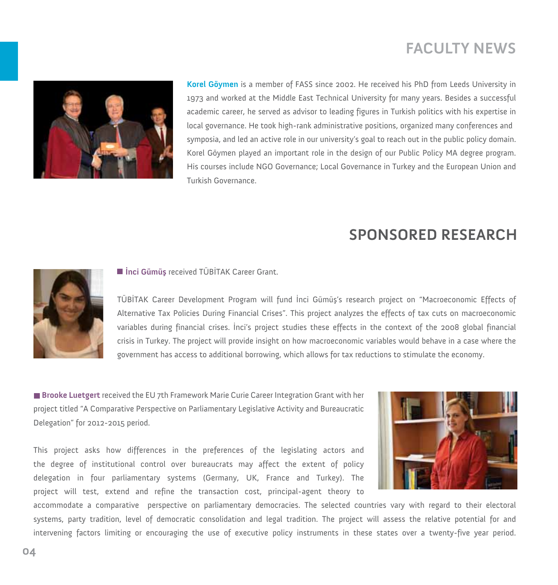## **FACULTY NEWS**



**Korel Göymen** is a member of FASS since 2002. He received his PhD from Leeds University in 1973 and worked at the Middle East Technical University for many years. Besides a successful academic career, he served as advisor to leading figures in Turkish politics with his expertise in local governance. He took high-rank administrative positions, organized many conferences and symposia, and led an active role in our university's goal to reach out in the public policy domain. Korel Göymen played an important role in the design of our Public Policy MA degree program. His courses include NGO Governance; Local Governance in Turkey and the European Union and Turkish Governance.

#### **SPONSORED RESEARCH**



**İnci Gümüş** received TÜBİTAK Career Grant.

TÜBİTAK Career Development Program will fund İnci Gümüş's research project on "Macroeconomic Effects of Alternative Tax Policies During Financial Crises". This project analyzes the effects of tax cuts on macroeconomic variables during financial crises. İnci's project studies these effects in the context of the 2008 global financial crisis in Turkey. The project will provide insight on how macroeconomic variables would behave in a case where the government has access to additional borrowing, which allows for tax reductions to stimulate the economy.

**Brooke Luetgert** received the EU 7th Framework Marie Curie Career Integration Grant with her project titled "A Comparative Perspective on Parliamentary Legislative Activity and Bureaucratic Delegation" for 2012-2015 period.

This project asks how differences in the preferences of the legislating actors and the degree of institutional control over bureaucrats may affect the extent of policy delegation in four parliamentary systems (Germany, UK, France and Turkey). The project will test, extend and refine the transaction cost, principal-agent theory to



accommodate a comparative perspective on parliamentary democracies. The selected countries vary with regard to their electoral systems, party tradition, level of democratic consolidation and legal tradition. The project will assess the relative potential for and intervening factors limiting or encouraging the use of executive policy instruments in these states over a twenty-five year period.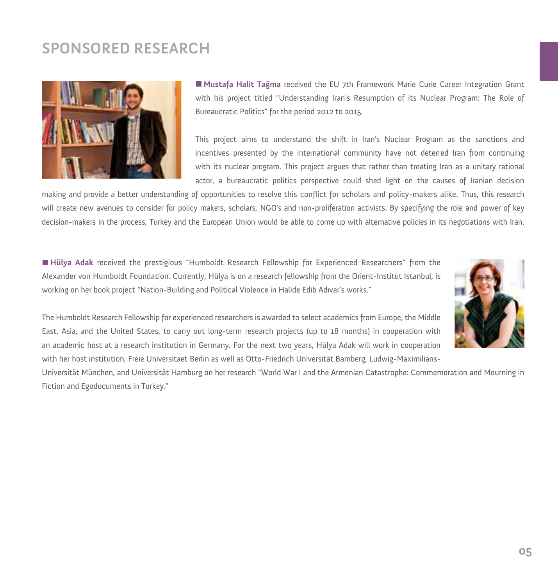# **SPONSORED RESEARCH**



**Mustafa Halit Tağma** received the EU 7th Framework Marie Curie Career Integration Grant with his project titled "Understanding Iran's Resumption of its Nuclear Program: The Role of Bureaucratic Politics" for the period 2012 to 2015.

This project aims to understand the shift in Iran's Nuclear Program as the sanctions and incentives presented by the international community have not deterred Iran from continuing with its nuclear program. This project argues that rather than treating Iran as a unitary rational actor, a bureaucratic politics perspective could shed light on the causes of Iranian decision

making and provide a better understanding of opportunities to resolve this conflict for scholars and policy-makers alike. Thus, this research will create new avenues to consider for policy makers, scholars, NGO's and non-proliferation activists. By specifying the role and power of key decision-makers in the process, Turkey and the European Union would be able to come up with alternative policies in its negotiations with Iran.

**Hülya Adak** received the prestigious "Humboldt Research Fellowship for Experienced Researchers" from the Alexander von Humboldt Foundation. Currently, Hülya is on a research fellowship from the Orient-Institut Istanbul, is working on her book project "Nation-Building and Political Violence in Halide Edib Adıvar's works."



The Humboldt Research Fellowship for experienced researchers is awarded to select academics from Europe, the Middle East, Asia, and the United States, to carry out long-term research projects (up to 18 months) in cooperation with an academic host at a research institution in Germany. For the next two years, Hülya Adak will work in cooperation with her host institution, Freie Universitaet Berlin as well as Otto-Friedrich Universität Bamberg, Ludwig-Maximilians-

Universität München, and Universität Hamburg on her research "World War I and the Armenian Catastrophe: Commemoration and Mourning in Fiction and Egodocuments in Turkey."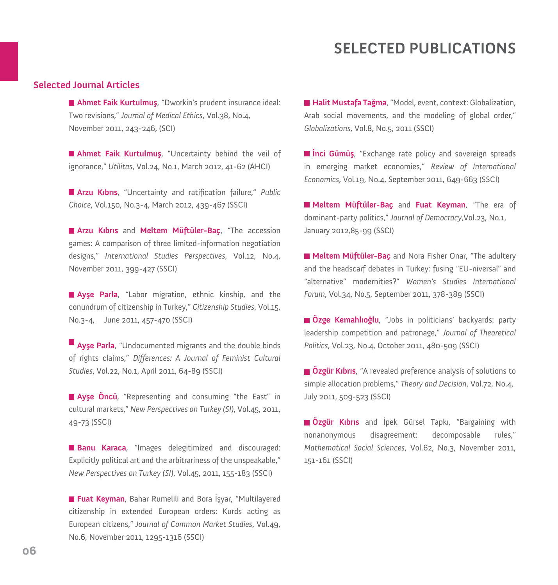#### **Selected Journal Articles**

**Ahmet Faik Kurtulmuş**, "Dworkin's prudent insurance ideal: Two revisions," *Journal of Medical Ethics*, Vol.38, No.4, November 2011, 243-246, (SCI)

**Ahmet Faik Kurtulmuş**, "Uncertainty behind the veil of ignorance," *Utilitas*, Vol.24, No.1, March 2012, 41-62 (AHCI)

**Arzu Kıbrıs**, "Uncertainty and ratification failure," *Public Choice*, Vol.150, No.3-4, March 2012, 439-467 (SSCI)

**Arzu Kıbrıs** and **Meltem Müftüler-Baç**, "The accession games: A comparison of three limited-information negotiation designs," *International Studies Perspectives*, Vol.12, No.4, November 2011, 399-427 (SSCI)

**Ayşe Parla**, "Labor migration, ethnic kinship, and the conundrum of citizenship in Turkey," *Citizenship Studies*, Vol.15, No.3-4, June 2011, 457-470 (SSCI)

**Ayse Parla**, "Undocumented migrants and the double binds of rights claims," *Differences: A Journal of Feminist Cultural Studies*, Vol.22, No.1, April 2011, 64-89 (SSCI)

**Ayşe Öncü**, "Representing and consuming "the East" in cultural markets," *New Perspectives on Turkey (SI)*, Vol.45, 2011, 49-73 (SSCI)

**Banu Karaca**, "Images delegitimized and discouraged: Explicitly political art and the arbitrariness of the unspeakable," *New Perspectives on Turkey (SI)*, Vol.45, 2011, 155-183 (SSCI)

**Fuat Keyman**, Bahar Rumelili and Bora İşyar, "Multilayered citizenship in extended European orders: Kurds acting as European citizens," *Journal of Common Market Studies*, Vol.49, No.6, November 2011, 1295-1316 (SSCI)

**Halit Mustafa Tağma**, "Model, event, context: Globalization, Arab social movements, and the modeling of global order," *Globalizations*, Vol.8, No.5, 2011 (SSCI)

**Inci Gümüş**, "Exchange rate policy and sovereign spreads in emerging market economies," *Review of International Economics*, Vol.19, No.4, September 2011, 649-663 (SSCI)

**Meltem Müftüler-Baç** and **Fuat Keyman**, "The era of dominant-party politics," *Journal of Democracy*,Vol.23, No.1, January 2012,85-99 (SSCI)

**Meltem Müftüler-Baç** and Nora Fisher Onar, "The adultery and the headscarf debates in Turkey: fusing "EU-niversal" and "alternative" modernities?" *Women's Studies International Forum*, Vol.34, No.5, September 2011, 378-389 (SSCI)

**Özge Kemahlıoğlu**, "Jobs in politicians' backyards: party leadership competition and patronage," *Journal of Theoretical Politics*, Vol.23, No.4, October 2011, 480-509 (SSCI)

**Özgür Kıbrıs**, "A revealed preference analysis of solutions to simple allocation problems," *Theory and Decision*, Vol.72, No.4, July 2011, 509-523 (SSCI)

**Özgür Kıbrıs** and İpek Gürsel Tapkı, "Bargaining with nonanonymous disagreement: decomposable rules," *Mathematical Social Sciences*, Vol.62, No.3, November 2011, 151-161 (SSCI)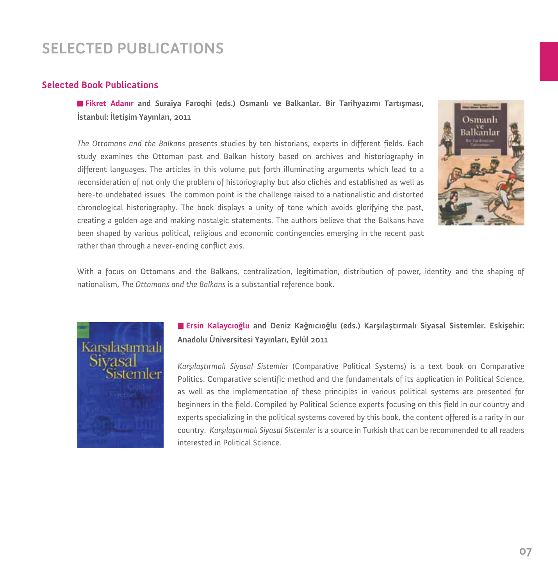#### **Selected Book Publications**

**Fikret Adanır and Suraiya Faroqhi (eds.) Osmanlı ve Balkanlar. Bir Tarihyazımı Tartışması, İstanbul: İletişim Yayınları, 2011**

*The Ottomans and the Balkans* presents studies by ten historians, experts in different fields. Each study examines the Ottoman past and Balkan history based on archives and historiography in different languages. The articles in this volume put forth illuminating arguments which lead to a reconsideration of not only the problem of historiography but also clichés and established as well as here-to undebated issues. The common point is the challenge raised to a nationalistic and distorted chronological historiography. The book displays a unity of tone which avoids glorifying the past, creating a golden age and making nostalgic statements. The authors believe that the Balkans have been shaped by various political, religious and economic contingencies emerging in the recent past rather than through a never-ending conflict axis.



With a focus on Ottomans and the Balkans, centralization, legitimation, distribution of power, identity and the shaping of nationalism, *The Ottomans and the Balkans* is a substantial reference book.



#### **Ersin Kalaycıoğlu and Deniz Kağnıcıoğlu (eds.) Karşılaştırmalı Siyasal Sistemler. Eskişehir: Anadolu Üniversitesi Yayınları, Eylül 2011**

*Karşılaştırmalı Siyasal Sistemler* (Comparative Political Systems) is a text book on Comparative Politics. Comparative scientific method and the fundamentals of its application in Political Science, as well as the implementation of these principles in various political systems are presented for beginners in the field. Compiled by Political Science experts focusing on this field in our country and experts specializing in the political systems covered by this book, the content offered is a rarity in our country. *Karşılaştırmalı Siyasal Sistemler* is a source in Turkish that can be recommended to all readers interested in Political Science.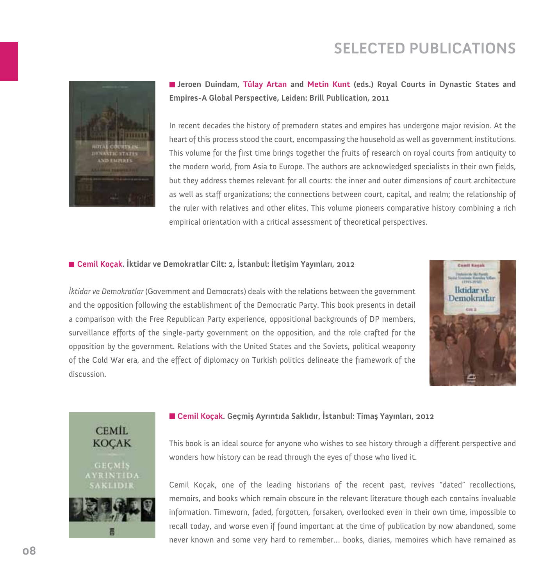

**Jeroen Duindam, Tülay Artan and Metin Kunt (eds.) Royal Courts in Dynastic States and Empires-A Global Perspective, Leiden: Brill Publication, 2011**

In recent decades the history of premodern states and empires has undergone major revision. At the heart of this process stood the court, encompassing the household as well as government institutions. This volume for the first time brings together the fruits of research on royal courts from antiquity to the modern world, from Asia to Europe. The authors are acknowledged specialists in their own fields, but they address themes relevant for all courts: the inner and outer dimensions of court architecture as well as staff organizations; the connections between court, capital, and realm; the relationship of the ruler with relatives and other elites. This volume pioneers comparative history combining a rich empirical orientation with a critical assessment of theoretical perspectives.

#### **Cemil Koçak. İktidar ve Demokratlar Cilt: 2, İstanbul: İletişim Yayınları, 2012**



*İktidar ve Demokratlar* (Government and Democrats) deals with the relations between the government and the opposition following the establishment of the Democratic Party. This book presents in detail a comparison with the Free Republican Party experience, oppositional backgrounds of DP members, surveillance efforts of the single-party government on the opposition, and the role crafted for the opposition by the government. Relations with the United States and the Soviets, political weaponry of the Cold War era, and the effect of diplomacy on Turkish politics delineate the framework of the discussion.



#### **Cemil Koçak. Geçmiş Ayrıntıda Saklıdır, İstanbul: Timaş Yayınları, 2012**

This book is an ideal source for anyone who wishes to see history through a different perspective and wonders how history can be read through the eyes of those who lived it.

Cemil Koçak, one of the leading historians of the recent past, revives "dated" recollections, memoirs, and books which remain obscure in the relevant literature though each contains invaluable information. Timeworn, faded, forgotten, forsaken, overlooked even in their own time, impossible to recall today, and worse even if found important at the time of publication by now abandoned, some never known and some very hard to remember… books, diaries, memoires which have remained as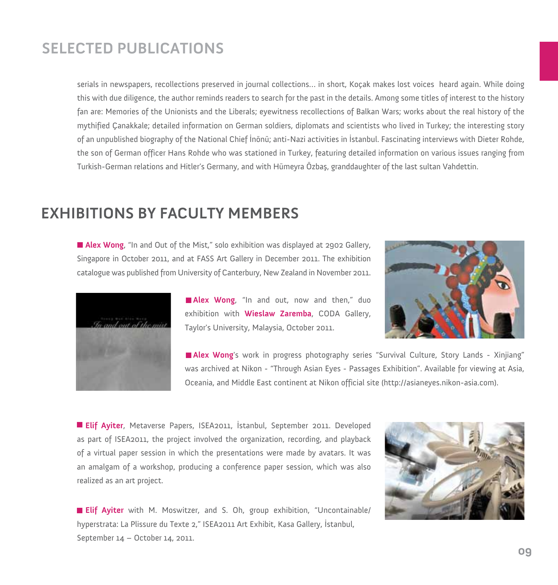serials in newspapers, recollections preserved in journal collections… in short, Koçak makes lost voices heard again. While doing this with due diligence, the author reminds readers to search for the past in the details. Among some titles of interest to the history fan are: Memories of the Unionists and the Liberals; eyewitness recollections of Balkan Wars; works about the real history of the mythified Çanakkale; detailed information on German soldiers, diplomats and scientists who lived in Turkey; the interesting story of an unpublished biography of the National Chief İnönü; anti-Nazi activities in İstanbul. Fascinating interviews with Dieter Rohde, the son of German officer Hans Rohde who was stationed in Turkey, featuring detailed information on various issues ranging from Turkish-German relations and Hitler's Germany, and with Hümeyra Özbaş, granddaughter of the last sultan Vahdettin.

#### **EXHIBITIONS BY FACULTY MEMBERS**

**Alex Wong**, "In and Out of the Mist," solo exhibition was displayed at 2902 Gallery, Singapore in October 2011, and at FASS Art Gallery in December 2011. The exhibition catalogue was published from University of Canterbury, New Zealand in November 2011.



**Alex Wong**, "In and out, now and then," duo exhibition with **Wieslaw Zaremba**, CODA Gallery, Taylor's University, Malaysia, October 2011.



**Alex Wong**'s work in progress photography series "Survival Culture, Story Lands - Xinjiang" was archived at Nikon - "Through Asian Eyes - Passages Exhibition". Available for viewing at Asia, Oceania, and Middle East continent at Nikon official site (http://asianeyes.nikon-asia.com).

**Elif Ayiter**, Metaverse Papers, ISEA2011, İstanbul, September 2011. Developed as part of ISEA2011, the project involved the organization, recording, and playback of a virtual paper session in which the presentations were made by avatars. It was an amalgam of a workshop, producing a conference paper session, which was also realized as an art project.



**Elif Ayiter** with M. Moswitzer, and S. Oh, group exhibition, "Uncontainable/ hyperstrata: La Plissure du Texte 2," ISEA2011 Art Exhibit, Kasa Gallery, İstanbul, September 14 – October 14, 2011.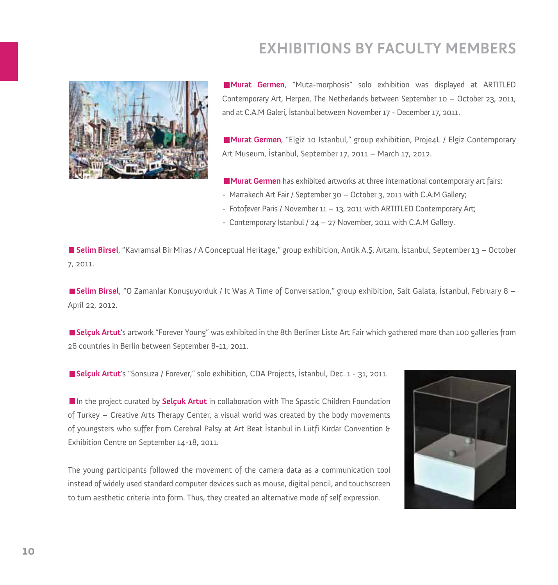# **EXHIBITIONS BY FACULTY MEMBERS**



**Murat Germen**, "Muta-morphosis" solo exhibition was displayed at ARTITLED Contemporary Art, Herpen, The Netherlands between September 10 – October 23, 2011, and at C.A.M Galeri, İstanbul between November 17 - December 17, 2011.

**Murat Germen**, "Elgiz 10 Istanbul," group exhibition, Proje4L / Elgiz Contemporary Art Museum, İstanbul, September 17, 2011 – March 17, 2012.

**Murat Germen** has exhibited artworks at three international contemporary art fairs:

- Marrakech Art Fair / September 30 October 3, 2011 with C.A.M Gallery;
- Fotofever Paris / November 11 13, 2011 with ARTITLED Contemporary Art;
- Contemporary Istanbul / 24 27 November, 2011 with C.A.M Gallery.

**Selim Birsel**, "Kavramsal Bir Miras / A Conceptual Heritage," group exhibition, Antik A.Ş, Artam, İstanbul, September 13 – October 7, 2011.

**Selim Birsel**, "O Zamanlar Konuşuyorduk / It Was A Time of Conversation," group exhibition, Salt Galata, İstanbul, February 8 – April 22, 2012.

**Selçuk Artut**'s artwork "Forever Young" was exhibited in the 8th Berliner Liste Art Fair which gathered more than 100 galleries from 26 countries in Berlin between September 8-11, 2011.

**Selçuk Artut**'s "Sonsuza / Forever," solo exhibition, CDA Projects, İstanbul, Dec. 1 - 31, 2011.

In the project curated by **Selçuk Artut** in collaboration with The Spastic Children Foundation of Turkey – Creative Arts Therapy Center, a visual world was created by the body movements of youngsters who suffer from Cerebral Palsy at Art Beat İstanbul in Lütfi Kırdar Convention & Exhibition Centre on September 14-18, 2011.

The young participants followed the movement of the camera data as a communication tool instead of widely used standard computer devices such as mouse, digital pencil, and touchscreen to turn aesthetic criteria into form. Thus, they created an alternative mode of self expression.

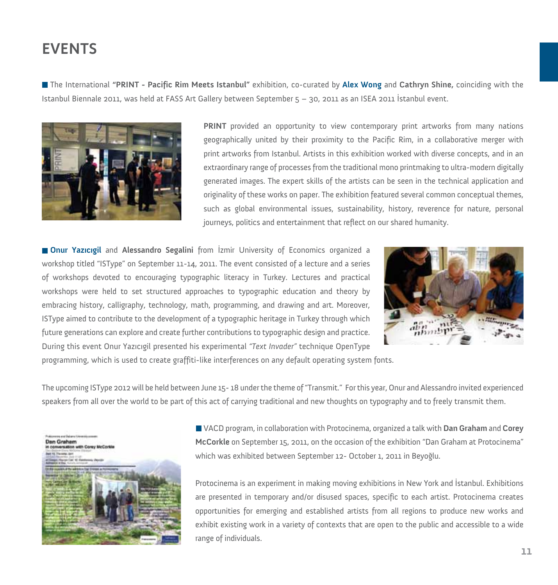The International **"PRINT - Pacific Rim Meets Istanbul"** exhibition, co-curated by **Alex Wong** and **Cathryn Shine,** coinciding with the Istanbul Biennale 2011, was held at FASS Art Gallery between September 5 – 30, 2011 as an ISEA 2011 İstanbul event.



**PRINT** provided an opportunity to view contemporary print artworks from many nations geographically united by their proximity to the Pacific Rim, in a collaborative merger with print artworks from Istanbul. Artists in this exhibition worked with diverse concepts, and in an extraordinary range of processes from the traditional mono printmaking to ultra-modern digitally generated images. The expert skills of the artists can be seen in the technical application and originality of these works on paper. The exhibition featured several common conceptual themes, such as global environmental issues, sustainability, history, reverence for nature, personal journeys, politics and entertainment that reflect on our shared humanity.

**Onur Yazıcıgil** and **Alessandro Segalini** from İzmir University of Economics organized a workshop titled "ISType" on September 11-14, 2011. The event consisted of a lecture and a series of workshops devoted to encouraging typographic literacy in Turkey. Lectures and practical workshops were held to set structured approaches to typographic education and theory by embracing history, calligraphy, technology, math, programming, and drawing and art. Moreover, ISType aimed to contribute to the development of a typographic heritage in Turkey through which future generations can explore and create further contributions to typographic design and practice. During this event Onur Yazıcıgil presented his experimental *"Text Invader"* technique OpenType



programming, which is used to create graffiti-like interferences on any default operating system fonts.

The upcoming ISType 2012 will be held between June 15- 18 under the theme of "Transmit." For this year, Onur and Alessandro invited experienced speakers from all over the world to be part of this act of carrying traditional and new thoughts on typography and to freely transmit them.



VACD program, in collaboration with Protocinema, organized a talk with **Dan Graham** and **Corey McCorkle** on September 15, 2011, on the occasion of the exhibition "Dan Graham at Protocinema" which was exhibited between September 12- October 1, 2011 in Beyoğlu.

Protocinema is an experiment in making moving exhibitions in New York and İstanbul. Exhibitions are presented in temporary and/or disused spaces, specific to each artist. Protocinema creates opportunities for emerging and established artists from all regions to produce new works and exhibit existing work in a variety of contexts that are open to the public and accessible to a wide range of individuals.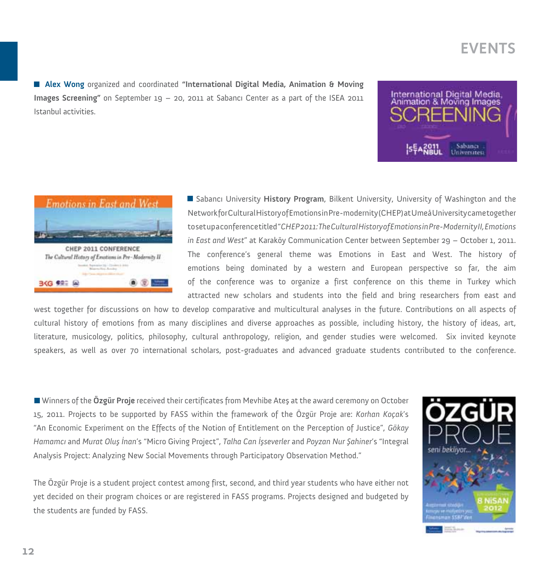**Alex Wong** organized and coordinated **"International Digital Media, Animation & Moving Images Screening"** on September 19 – 20, 2011 at Sabancı Center as a part of the ISEA 2011 Istanbul activities.





Sabancı University **History Program**, Bilkent University, University of Washington and the Network for Cultural History of Emotions in Pre-modernity (CHEP) at Umeå University came together to set up a conference titled "*CHEP 2011:The Cultural History of Emotions in Pre-Modernity II,Emotions in East and West*" at Karaköy Communication Center between September 29 – October 1, 2011. The conference's general theme was Emotions in East and West. The history of emotions being dominated by a western and European perspective so far, the aim of the conference was to organize a first conference on this theme in Turkey which attracted new scholars and students into the field and bring researchers from east and

west together for discussions on how to develop comparative and multicultural analyses in the future. Contributions on all aspects of cultural history of emotions from as many disciplines and diverse approaches as possible, including history, the history of ideas, art, literature, musicology, politics, philosophy, cultural anthropology, religion, and gender studies were welcomed. Six invited keynote speakers, as well as over 70 international scholars, post-graduates and advanced graduate students contributed to the conference.

Winners of the **Özgür Proje** received their certificates from Mevhibe Ateş at the award ceremony on October 15, 2011. Projects to be supported by FASS within the framework of the Özgür Proje are: *Korhan Koçak*'s "An Economic Experiment on the Effects of the Notion of Entitlement on the Perception of Justice", *Gökay Hamamcı* and *Murat Oluş İnan*'s "Micro Giving Project", *Talha Can İşseverler* and *Poyzan Nur Şahiner*'s "Integral Analysis Project: Analyzing New Social Movements through Participatory Observation Method."

The Özgür Proje is a student project contest among first, second, and third year students who have either not yet decided on their program choices or are registered in FASS programs. Projects designed and budgeted by the students are funded by FASS.

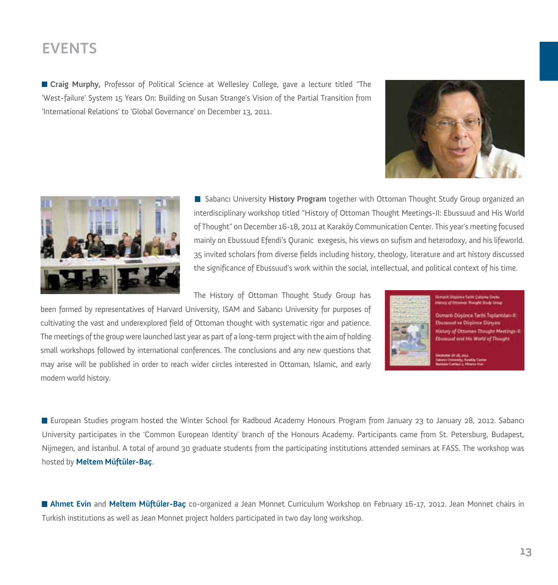**Craig Murphy,** Professor of Political Science at Wellesley College, gave a lecture titled "The 'West-failure' System 15 Years On: Building on Susan Strange's Vision of the Partial Transition from 'International Relations' to 'Global Governance' on December 13, 2011.





Sabancı University **History Program** together with Ottoman Thought Study Group organized an interdisciplinary workshop titled "History of Ottoman Thought Meetings-II: Ebussuud and His World of Thought" on December 16-18, 2011 at Karaköy Communication Center. This year's meeting focused mainly on Ebussuud Efendi's Quranic exegesis, his views on sufism and heterodoxy, and his lifeworld. 35 invited scholars from diverse fields including history, theology, literature and art history discussed the significance of Ebussuud's work within the social, intellectual, and political context of his time.

The History of Ottoman Thought Study Group has

been formed by representatives of Harvard University, ISAM and Sabancı University for purposes of cultivating the vast and underexplored field of Ottoman thought with systematic rigor and patience. The meetings of the group were launched last year as part of a long-term project with the aim of holding small workshops followed by international conferences. The conclusions and any new questions that may arise will be published in order to reach wider circles interested in Ottoman, Islamic, and early modern world history.



unb Dögünen Tarte Calena Grett

Osmanlı Düşünce Tarihi Toplantıları-iti **Ebustine ve Düsünce Dünyas** stary of Ottoman Thought Meetings-E. **Dussaud and Nix World of Thought** 

**E** European Studies program hosted the Winter School for Radboud Academy Honours Program from January 23 to January 28, 2012. Sabancı University participates in the 'Common European Identity' branch of the Honours Academy. Participants came from St. Petersburg, Budapest, Nijmegen, and İstanbul. A total of around 30 graduate students from the participating institutions attended seminars at FASS. The workshop was hosted by **Meltem Müftüler-Baç**.

**Ahmet Evin** and **Meltem Müftüler-Baç** co-organized a Jean Monnet Curriculum Workshop on February 16-17, 2012. Jean Monnet chairs in Turkish institutions as well as Jean Monnet project holders participated in two day long workshop.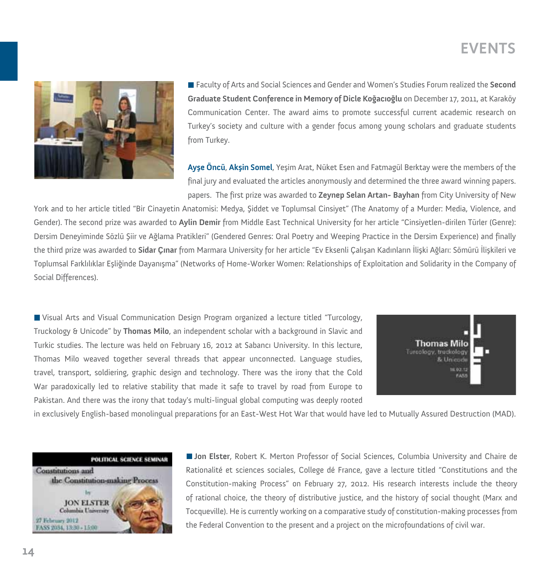

Faculty of Arts and Social Sciences and Gender and Women's Studies Forum realized the **Second Graduate Student Conference in Memory of Dicle Koğacıoğlu** on December 17, 2011, at Karaköy Communication Center. The award aims to promote successful current academic research on Turkey's society and culture with a gender focus among young scholars and graduate students from Turkey.

**Ayşe Öncü**, **Akşin Somel**, Yeşim Arat, Nüket Esen and Fatmagül Berktay were the members of the final jury and evaluated the articles anonymously and determined the three award winning papers. papers. The first prize was awarded to **Zeynep Selan Artan- Bayhan** from City University of New

York and to her article titled "Bir Cinayetin Anatomisi: Medya, Şiddet ve Toplumsal Cinsiyet" (The Anatomy of a Murder: Media, Violence, and Gender). The second prize was awarded to **Aylin Demir** from Middle East Technical University for her article "Cinsiyetlen-dirilen Türler (Genre): Dersim Deneyiminde Sözlü Şiir ve Ağlama Pratikleri" (Gendered Genres: Oral Poetry and Weeping Practice in the Dersim Experience) and finally the third prize was awarded to **Sidar Çınar** from Marmara University for her article "Ev Eksenli Çalışan Kadınların İlişki Ağları: Sömürü İlişkileri ve Toplumsal Farklılıklar Eşliğinde Dayanışma" (Networks of Home-Worker Women: Relationships of Exploitation and Solidarity in the Company of Social Differences).

Visual Arts and Visual Communication Design Program organized a lecture titled "Turcology, Truckology & Unicode" by **Thomas Milo**, an independent scholar with a background in Slavic and Turkic studies. The lecture was held on February 16, 2012 at Sabancı University. In this lecture, Thomas Milo weaved together several threads that appear unconnected. Language studies, travel, transport, soldiering, graphic design and technology. There was the irony that the Cold War paradoxically led to relative stability that made it safe to travel by road from Europe to Pakistan. And there was the irony that today's multi-lingual global computing was deeply rooted



in exclusively English-based monolingual preparations for an East-West Hot War that would have led to Mutually Assured Destruction (MAD).



**Jon Elster**, Robert K. Merton Professor of Social Sciences, Columbia University and Chaire de Rationalité et sciences sociales, College dé France, gave a lecture titled "Constitutions and the Constitution-making Process" on February 27, 2012. His research interests include the theory of rational choice, the theory of distributive justice, and the history of social thought (Marx and Tocqueville). He is currently working on a comparative study of constitution-making processes from the Federal Convention to the present and a project on the microfoundations of civil war.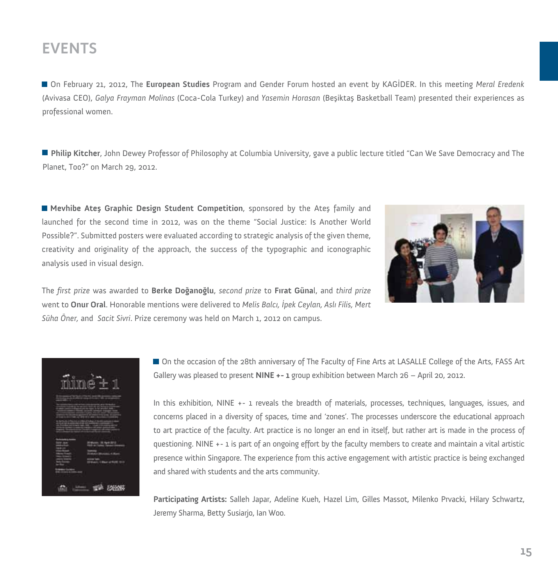On February 21, 2012, The **European Studies** Program and Gender Forum hosted an event by KAGİDER. In this meeting *Meral Eredenk* (Avivasa CEO), *Galya Frayman Molinas* (Coca-Cola Turkey) and *Yasemin Horasan* (Beşiktaş Basketball Team) presented their experiences as professional women.

**Philip Kitcher**, John Dewey Professor of Philosophy at Columbia University, gave a public lecture titled "Can We Save Democracy and The Planet, Too?" on March 29, 2012.

**Mevhibe Ateş Graphic Design Student Competition**, sponsored by the Ateş family and launched for the second time in 2012, was on the theme "Social Justice: Is Another World Possible?". Submitted posters were evaluated according to strategic analysis of the given theme, creativity and originality of the approach, the success of the typographic and iconographic analysis used in visual design.



The *first prize* was awarded to **Berke Doğanoğlu**, *second prize* to **Fırat Güna**l, and *third prize* went to **Onur Oral**. Honorable mentions were delivered to *Melis Balcı, İpek Ceylan, Aslı Filis, Mert Süha Öner,* and *Sacit Sivri*. Prize ceremony was held on March 1, 2012 on campus.



On the occasion of the 28th anniversary of The Faculty of Fine Arts at LASALLE College of the Arts, FASS Art Gallery was pleased to present **NINE +- 1** group exhibition between March 26 – April 20, 2012.

In this exhibition, NINE +- 1 reveals the breadth of materials, processes, techniques, languages, issues, and concerns placed in a diversity of spaces, time and 'zones'. The processes underscore the educational approach to art practice of the faculty. Art practice is no longer an end in itself, but rather art is made in the process of questioning. NINE +- 1 is part of an ongoing effort by the faculty members to create and maintain a vital artistic presence within Singapore. The experience from this active engagement with artistic practice is being exchanged and shared with students and the arts community.

**Participating Artists:** Salleh Japar, Adeline Kueh, Hazel Lim, Gilles Massot, Milenko Prvacki, Hilary Schwartz, Jeremy Sharma, Betty Susiarjo, Ian Woo.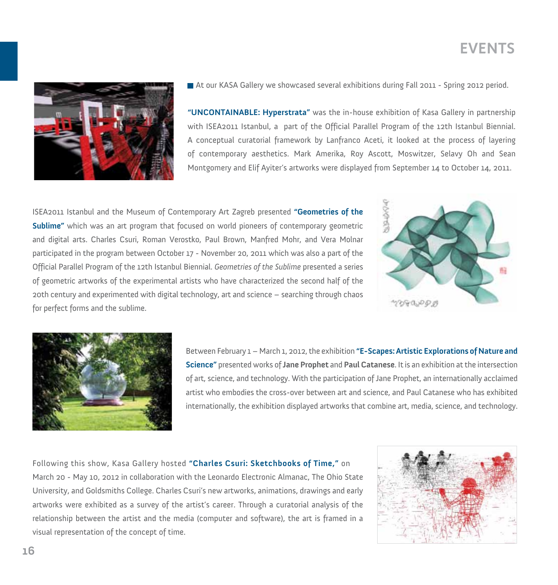

At our KASA Gallery we showcased several exhibitions during Fall 2011 - Spring 2012 period.

**"UNCONTAINABLE: Hyperstrata"** was the in-house exhibition of Kasa Gallery in partnership with ISEA2011 Istanbul, a part of the Official Parallel Program of the 12th Istanbul Biennial. A conceptual curatorial framework by Lanfranco Aceti, it looked at the process of layering of contemporary aesthetics. Mark Amerika, Roy Ascott, Moswitzer, Selavy Oh and Sean Montgomery and Elif Ayiter's artworks were displayed from September 14 to October 14, 2011.

ISEA2011 Istanbul and the Museum of Contemporary Art Zagreb presented **"Geometries of the Sublime"** which was an art program that focused on world pioneers of contemporary geometric and digital arts. Charles Csuri, Roman Verostko, Paul Brown, Manfred Mohr, and Vera Molnar participated in the program between October 17 - November 20, 2011 which was also a part of the Official Parallel Program of the 12th Istanbul Biennial. *Geometries of the Sublime* presented a series of geometric artworks of the experimental artists who have characterized the second half of the 20th century and experimented with digital technology, art and science – searching through chaos for perfect forms and the sublime.





Between February 1 – March 1, 2012, the exhibition **"E-Scapes: Artistic Explorations of Nature and Science"** presented works of **Jane Prophet** and **Paul Catanese**. It is an exhibition at the intersection of art, science, and technology. With the participation of Jane Prophet, an internationally acclaimed artist who embodies the cross-over between art and science, and Paul Catanese who has exhibited internationally, the exhibition displayed artworks that combine art, media, science, and technology.

Following this show, Kasa Gallery hosted **"Charles Csuri: Sketchbooks of Time,"** on March 20 - May 10, 2012 in collaboration with the Leonardo Electronic Almanac, The Ohio State University, and Goldsmiths College. Charles Csuri's new artworks, animations, drawings and early artworks were exhibited as a survey of the artist's career. Through a curatorial analysis of the relationship between the artist and the media (computer and software), the art is framed in a visual representation of the concept of time.

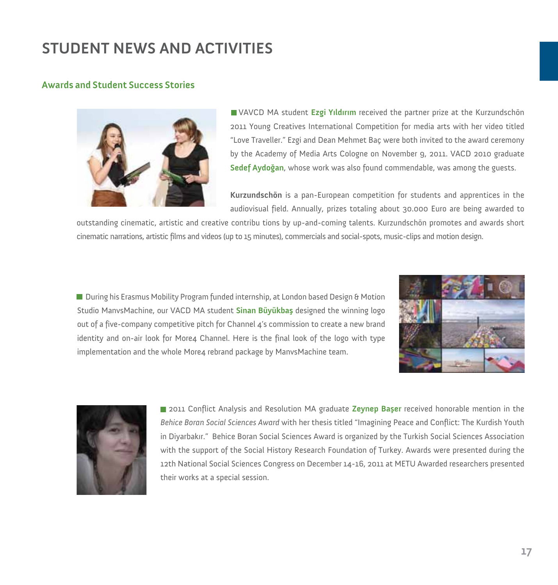#### **Awards and Student Success Stories**



VAVCD MA student **Ezgi Yıldırım** received the partner prize at the Kurzundschön 2011 Young Creatives International Competition for media arts with her video titled "Love Traveller." Ezgi and Dean Mehmet Baç were both invited to the award ceremony by the Academy of Media Arts Cologne on November 9, 2011. VACD 2010 graduate **Sedef Aydoğan**, whose work was also found commendable, was among the guests.

**Kurzundschön** is a pan-European competition for students and apprentices in the audiovisual field. Annually, prizes totaling about 30.000 Euro are being awarded to

outstanding cinematic, artistic and creative contribu tions by up-and-coming talents. Kurzundschön promotes and awards short cinematic narrations, artistic films and videos (up to 15 minutes), commercials and social-spots, music-clips and motion design.

**During his Erasmus Mobility Program funded internship, at London based Design & Motion** Studio ManvsMachine, our VACD MA student **Sinan Büyükbaş** designed the winning logo out of a five-company competitive pitch for Channel 4's commission to create a new brand identity and on-air look for More4 Channel. Here is the final look of the logo with type implementation and the whole More4 rebrand package by ManvsMachine team.





2011 Conflict Analysis and Resolution MA graduate **Zeynep Başer** received honorable mention in the *Behice Boran Social Sciences Award* with her thesis titled "Imagining Peace and Conflict: The Kurdish Youth in Diyarbakır." Behice Boran Social Sciences Award is organized by the Turkish Social Sciences Association with the support of the Social History Research Foundation of Turkey. Awards were presented during the 12th National Social Sciences Congress on December 14-16, 2011 at METU Awarded researchers presented their works at a special session.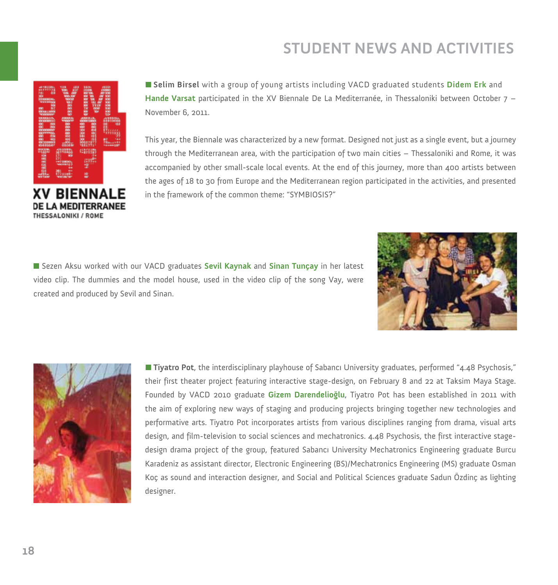

**Selim Birsel** with a group of young artists including VACD graduated students **Didem Erk** and **Hande Varsat** participated in the XV Biennale De La Mediterranée, in Thessaloniki between October 7 – November 6, 2011.

This year, the Biennale was characterized by a new format. Designed not just as a single event, but a journey through the Mediterranean area, with the participation of two main cities – Thessaloniki and Rome, it was accompanied by other small-scale local events. At the end of this journey, more than 400 artists between the ages of 18 to 30 from Europe and the Mediterranean region participated in the activities, and presented in the framework of the common theme: "SYMBIOSIS?"

Sezen Aksu worked with our VACD graduates **Sevil Kaynak** and **Sinan Tunçay** in her latest video clip. The dummies and the model house, used in the video clip of the song Vay, were created and produced by Sevil and Sinan.





**Tiyatro Pot**, the interdisciplinary playhouse of Sabancı University graduates, performed "4.48 Psychosis," their first theater project featuring interactive stage-design, on February 8 and 22 at Taksim Maya Stage. Founded by VACD 2010 graduate **Gizem Darendelioğlu**, Tiyatro Pot has been established in 2011 with the aim of exploring new ways of staging and producing projects bringing together new technologies and performative arts. Tiyatro Pot incorporates artists from various disciplines ranging from drama, visual arts design, and film-television to social sciences and mechatronics. 4.48 Psychosis, the first interactive stagedesign drama project of the group, featured Sabancı University Mechatronics Engineering graduate Burcu Karadeniz as assistant director, Electronic Engineering (BS)/Mechatronics Engineering (MS) graduate Osman Koç as sound and interaction designer, and Social and Political Sciences graduate Sadun Özdinç as lighting designer.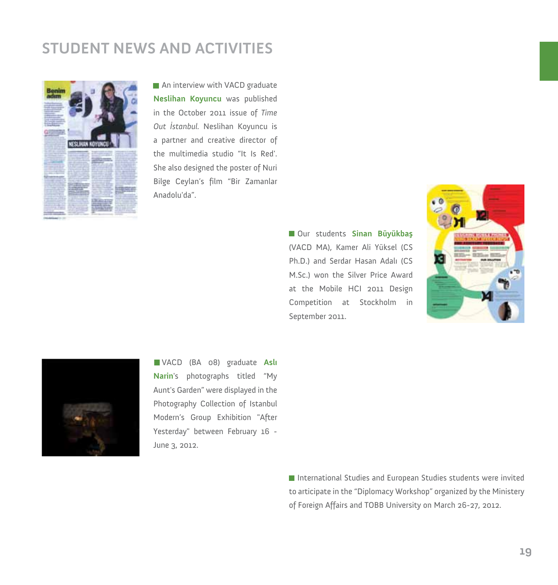

An interview with VACD graduate **Neslihan Koyuncu** was published in the October 2011 issue of *Time Out İstanbul.* Neslihan Koyuncu is a partner and creative director of the multimedia studio "It Is Red'. She also designed the poster of Nuri Bilge Ceylan's film "Bir Zamanlar Anadolu'da".

> Our students **Sinan Büyükbaş** (VACD MA), Kamer Ali Yüksel (CS Ph.D.) and Serdar Hasan Adalı (CS M.Sc.) won the Silver Price Award at the Mobile HCI 2011 Design Competition at Stockholm in September 2011.





VACD (BA 08) graduate **Aslı Narin**'s photographs titled "My Aunt's Garden" were displayed in the Photography Collection of Istanbul Modern's Group Exhibition "After Yesterday" between February 16 - June 3, 2012.

> ■ International Studies and European Studies students were invited to articipate in the "Diplomacy Workshop" organized by the Ministery of Foreign Affairs and TOBB University on March 26-27, 2012.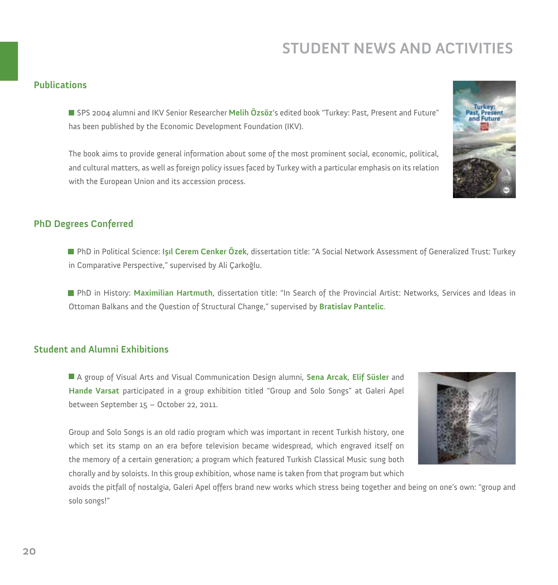#### **Publications**

SPS 2004 alumni and IKV Senior Researcher **Melih Özsöz'**s edited book "Turkey: Past, Present and Future" has been published by the Economic Development Foundation (IKV).

The book aims to provide general information about some of the most prominent social, economic, political, and cultural matters, as well as foreign policy issues faced by Turkey with a particular emphasis on its relation with the European Union and its accession process.

#### **PhD Degrees Conferred**

PhD in Political Science: **Işıl Cerem Cenker Özek**, dissertation title: "A Social Network Assessment of Generalized Trust: Turkey in Comparative Perspective," supervised by Ali Çarkoğlu.

PhD in History: **Maximilian Hartmuth**, dissertation title: "In Search of the Provincial Artist: Networks, Services and Ideas in Ottoman Balkans and the Question of Structural Change," supervised by **Bratislav Pantelic**.

#### **Student and Alumni Exhibitions**

A group of Visual Arts and Visual Communication Design alumni, **Sena Arcak**, **Elif Süsler** and **Hande Varsat** participated in a group exhibition titled "Group and Solo Songs" at Galeri Apel between September 15 – October 22, 2011.

Group and Solo Songs is an old radio program which was important in recent Turkish history, one which set its stamp on an era before television became widespread, which engraved itself on the memory of a certain generation; a program which featured Turkish Classical Music sung both chorally and by soloists. In this group exhibition, whose name is taken from that program but which

avoids the pitfall of nostalgia, Galeri Apel offers brand new works which stress being together and being on one's own: "group and solo songs!"



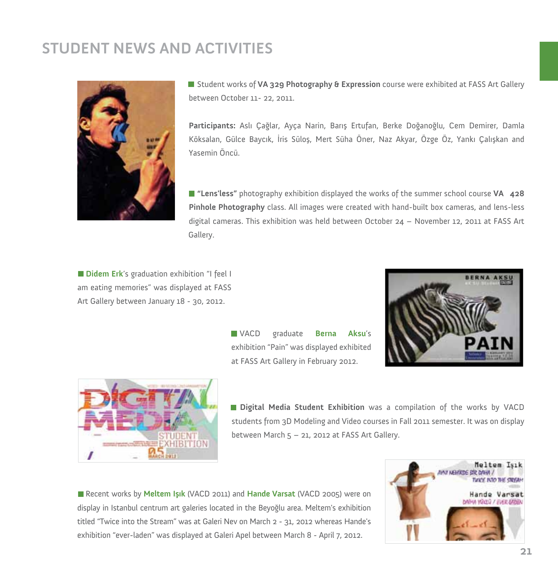

Student works of **VA 329 Photography & Expression** course were exhibited at FASS Art Gallery between October 11- 22, 2011.

**Participants:** Aslı Çağlar, Ayça Narin, Barış Ertufan, Berke Doğanoğlu, Cem Demirer, Damla Köksalan, Gülce Baycık, İris Süloş, Mert Süha Öner, Naz Akyar, Özge Öz, Yankı Çalışkan and Yasemin Öncü.

**"Lens'less"** photography exhibition displayed the works of the summer school course **VA 428 Pinhole Photography** class. All images were created with hand-built box cameras, and lens-less digital cameras. This exhibition was held between October 24 – November 12, 2011 at FASS Art Gallery.

**Didem Erk**'s graduation exhibition "I feel I am eating memories" was displayed at FASS Art Gallery between January 18 - 30, 2012.

> VACD graduate **Berna Aksu**'s exhibition "Pain" was displayed exhibited at FASS Art Gallery in February 2012.





**Digital Media Student Exhibition** was a compilation of the works by VACD students from 3D Modeling and Video courses in Fall 2011 semester. It was on display between March 5 – 21, 2012 at FASS Art Gallery.

Recent works by **Meltem Işık** (VACD 2011) and **Hande Varsat** (VACD 2005) were on display in Istanbul centrum art galeries located in the Beyoğlu area. Meltem's exhibition titled "Twice into the Stream" was at Galeri Nev on March 2 - 31, 2012 whereas Hande's exhibition "ever-laden" was displayed at Galeri Apel between March 8 - April 7, 2012.